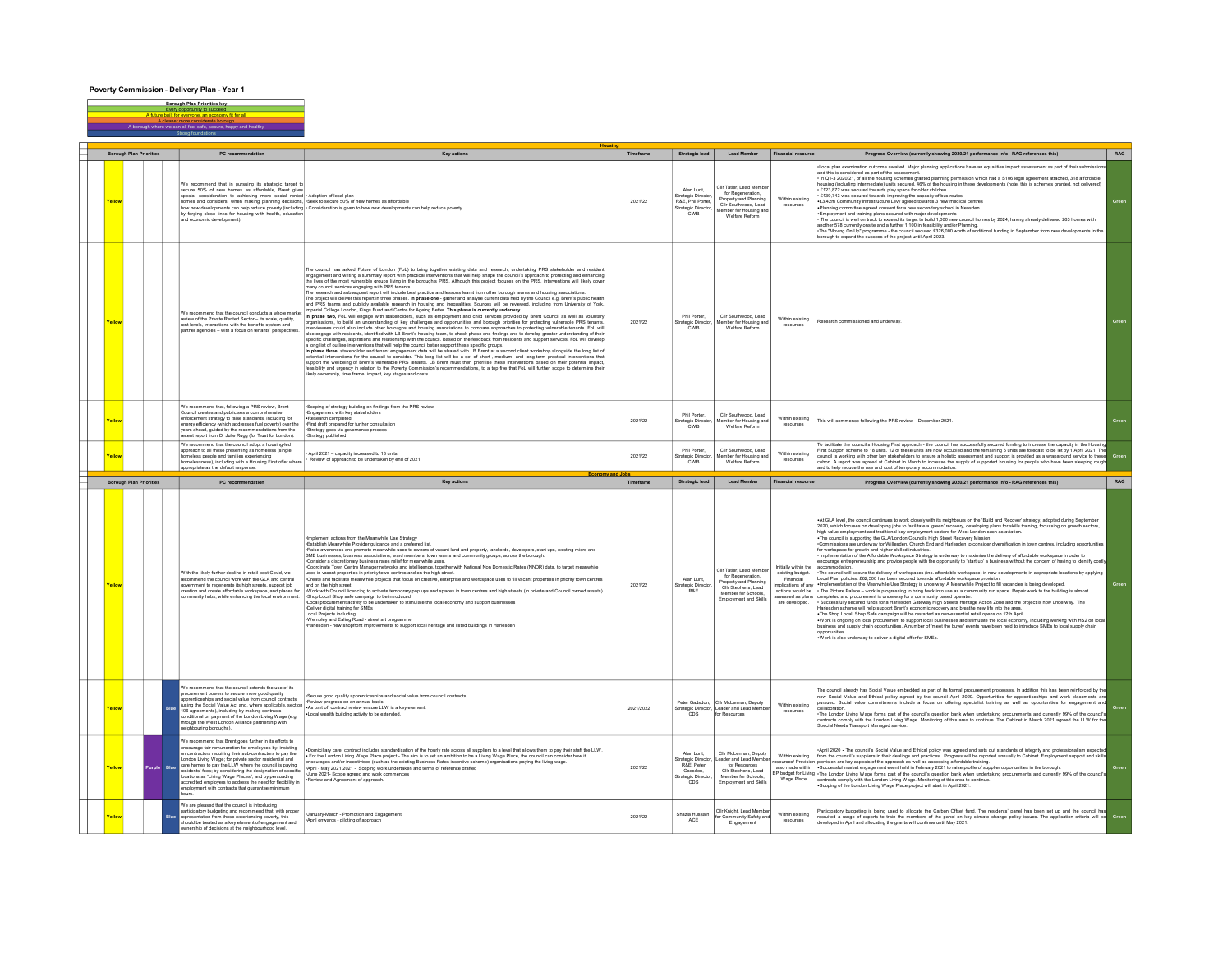## Poverty Commission - Delivery Plan - Year 1

Yellow We recommend that in pursuing its strategic target to<br>secure 50% of new homes as affordable, Brent gives<br>special consideration to achiening more social rented<br>bornes and consideration to achiening planning decisions,<br>borne • Adoption of local plan •Seek to secure 50% of new homes as affordable • Consideration is given to how new developments can help reduce poverty 2021/22 Alan Lunt, Strategic Director, R&E, Phil Porter, Strategic Director, CWB Cllr Tatler, Lead Member for Regeneration, Property and Planning Cllr Southwood, Lead Member for Housing and Welfare Reform Within existing resources ·Local plan examination outcome awaited. Major planning applications have an equalities impact assessment as part of their sub and his is considered as part of the assessment.<br>In to in 2020/21, of all the housing schemes granted planning permission which had a S106 legal agreement atlached, 318 affordable<br>Incuring (including intermediate) units se «Planning committee agreed consent for a new secondary school in Neasden<br>«Employment and training plans secured with major developments<br>• The council is well on track to exceed its target to build 1,000 new council homes b Yellow We recommend that the council conducts a whole market<br>review of the Private Rented Sector – its scale, quality,<br>rent levels, interactions with the benefits system and<br>partner agencies – with a focus on tenants' perspective The council das asked Future of Lendon (FoL), being together esisting data and research, understanding PRS stateholder and ensidering experiments and ensidering the council spectral in properties are ensigned as the most specific challenges, aspirations and relationship with the council and relationship with the council with the council. The council and a spirationship with the council. The council of the council and the council. The counc a long list of outline interventions that will help the council better support these specific groups.<br>In phase three, stakeholder and tenant engagement data will be shared with LB Brent at a second client workshop along is 2021/22 Phil Porter, Strategic Director, CWB Cllr Southwood, Lead Member for Housing and Welfare Reform Within existing resources and underway Yellow We recommend that, following a PRS review, Brent<br>Council creates and publicises a comprehensive<br>enforcement strategy to raise standards, including for<br>energy efficiency (which addresses fuel powerty) over the<br>vears ahead, recent report from Dr Julie Rugg (for Trust for London). •Scoping of strategy building on findings from the PRS review •Engagement with key stakeholders •Research completed •First draft prepared for further consultation •Strategy goes via governance process •Strategy published 2021/22 Phil Porter, Strategic Director, CWB Cllr Southwood, Lea Member for Housing and Welfare Reform Within existing resources This will commence following the PRS review - December 2021 Yellow We recommend that the council adopt a housing-led approach to all those presenting as homeless (single homeless people and families experiencing homelessness), including with a Housing First offer where appropriate as the default response. • April 2021 – capacity increased to 18 units • Review of approach to be undertaken by end of 2021 2021/22 Phil Porter, Strategic Director, CWB Cllr Southwood, Lead Member for Housing and Welfare Reform Within existing resources To faciliate fie countris Housing First approach - the council tes successfully secured funding to incesse the capacity in the Housing<br>Council is working with other key slabel objects when we coupled and the remaining Suni Yellow With the likely further decline in retail post-Covid, we recommend the council work with the GLA and central government to regenerate its high streets, support job creation and create affordable workspace, and places for community hubs, while enhancing the local environment. -mpieneri actions form the Meanwhile Use Strategy<br>- Establish Meanwhile Provide guidance and a preferred list.<br>- Establish Meanwhile Provide guidance and a preferred list. In exams and community groups, across the borough<br> and on the high street.<br>Work with Council lice •Work with Council licencing to activate temporary pop ups and spaces in town centres and high streets (in private and Council owned assets) •Shop Local Shop safe campaign to be introduced •Local procurement activity to be undertaken to stimulate the local economy and support businesses •Deliver digital training for SMEs Local Projects including: •Wembley and Ealing Road - street art programme •Harlesden - new shopfront improvements to support local heritage and listed buildings in Harlesden 2021/22 Alan Lunt, Strategic Director, R&E Clir Tatler, Lead Membe for Regeneration, Property and Planning Cllr Stephens, Lead Member for Schools, Employment and Skills Initially within the existing budget. Financial implications of any actions would be assessed as plans are developed. +At GLA level, the council continues to work closely with its neighbours on the 'Build and Recover' strategy, adopted during September<br>2020, which focuses on developing jobs to facilitate a 'green' recovery, developing pla •The council is supporting the GLA/London Councils High Street Recovery Mission. •Commissions are underway for Willesden, Church End and Harlesden to consider diversification in town centres, including opportunities for workspace for growth and higher skilled industries.<br>• Implementation of the Affordable Workspace Strategy is underway to maximise the delivery of affordable workspace in order to<br>encourage entrepreneurship and provide accommodation.<br>Local Plan policies. Religions and workspaces (inc. affordable workspace) in new developments in appropriate localions by applying<br>Local Plan policies. RSC,2001 nas bens securate bwards affordable workspace opportunities. Economy and Jobs Borough Plan Priorities PC recommendation New Strategic lead Member Timeframe Strategic lead Member Financial resource Progress Overview (currently showing 2020/21 performance info - RAG references this) RAG **Housing** Borough Plan Priorities PC recommendation Key actions Timeframe Strategic lead Lead Member Financial resource RAG Progress Overview (currently showing 2020/21 performance info - RAG references this) Borough Plan Priorities key Every opportunity to succeed A future built for everyone, an economy fit for all A cleaner more considerate borough A borough where we can all feel safe, secure, happy and healthy Strong foundations

|               |             | community nucle, while emigricing the local environment.                                                                                                                                                                                                                                                                                                                                                                                                                                                                                              | -and cocal and sale campaign to be introduced<br>Local procurement activity to be undertaken to stimulate the local economy and support businesses<br>-Deliver digital training for SMEs<br>Local Projects including:<br>-Wembley and Ealing Road - street art programme<br>-Harlesden - new shoofront improvements to support local heritage and listed buildings in Harlesden                                                                                                                                                                                                                      |           |                                                                                         | <b>Employment and Skills</b>                                                                                                            | are developed.                | assessed as plans Tudinbieted and producinent is gilderway for a community pased queralor.<br>- Successfully secured funds for a Harlesden Gateway High Streets Heritage Action Zone and the project is now underway. The<br>Harlesden scheme will help support Brent's economic recovery and breathe new life into the area.<br>- The Shop Local, Shop Safe campaign will be restarted as non-essential retail opens on 12th April.<br>-Work is ongoing on local procurement to support local businesses and stimulate the local economy, including working with HS2 on local<br>business and supply chain opportunities. A number of 'meet the buyer' events have been held to introduce SMEs to local supply chain<br>opportunities<br>. Work is also underway to deliver a digital offer for SMEs.                                                                                  |       |
|---------------|-------------|-------------------------------------------------------------------------------------------------------------------------------------------------------------------------------------------------------------------------------------------------------------------------------------------------------------------------------------------------------------------------------------------------------------------------------------------------------------------------------------------------------------------------------------------------------|------------------------------------------------------------------------------------------------------------------------------------------------------------------------------------------------------------------------------------------------------------------------------------------------------------------------------------------------------------------------------------------------------------------------------------------------------------------------------------------------------------------------------------------------------------------------------------------------------|-----------|-----------------------------------------------------------------------------------------|-----------------------------------------------------------------------------------------------------------------------------------------|-------------------------------|-----------------------------------------------------------------------------------------------------------------------------------------------------------------------------------------------------------------------------------------------------------------------------------------------------------------------------------------------------------------------------------------------------------------------------------------------------------------------------------------------------------------------------------------------------------------------------------------------------------------------------------------------------------------------------------------------------------------------------------------------------------------------------------------------------------------------------------------------------------------------------------------|-------|
| Yellow        |             | We recommend that the council extends the use of its<br>procurement powers to secure more good quality<br>apprenticeships and social value from council contracts<br>(using the Social Value Act and, where applicable, section<br>106 agreements), including by making contracts<br>conditional on payment of the London Living Wage (e.g.<br>through the West London Alliance partnership with<br>neighbouring boroughs).                                                                                                                           | Secure good quality apprenticeships and social value from council contracts.<br>Review progress on an annual basis.<br>. As part of contract review ensure LLW is a key element<br>. Local wealth building activity to be extended.                                                                                                                                                                                                                                                                                                                                                                  | 2021/2022 | Strategic Director<br>cns                                                               | Peter Gadsdon. Clir McLennan, Deputy<br>Leader and Lead Member<br>for Resources                                                         | Within existing<br>resources. | The council already has Social Value embedded as part of its formal procurement processes. In addition this has been reinforced by the<br>new Social Value and Ethical policy agreed by the council April 2020. Opportunities for apprenticeships and work placements are<br>oursued. Social value commitments include a focus on offering specialist training as well as opportunities for engagement and<br>collaboration<br>-The London Living Wage forms part of the council's question bank when undertaking procurements and currently 99% of the council's<br>contracts comply with the London Living Wage. Monitoring of this area to continue. The Cabinet in March 2021 agreed the LLW for the<br>Special Needs Transport Managed service.                                                                                                                                    |       |
|               | Purple Blue | We recommend that Brent goes further in its efforts to<br>encourage fair remuneration for employees by: insisting<br>on contractors requiring their sub-contractors to pay the<br>London Living Wage: for private sector residential and<br>care homes to pay the LLW where the council is paying<br>residents' fees; by considering the designation of specific<br>locations as "Living Wage Places"; and by persuading<br>accredited employers to address the need for flexibility in<br>employment with contracts that quarantee minimum<br>hours. | . Domiciliary care contract includes standardisation of the hourly rate across all suppliers to a level that allows them to pay their staff the LLW.<br>. For the London Living Wage Place project - The aim is to set an ambition to be a Living Wage Place, the council can consider how it<br>encourages and/or incentivises (such as the existing Business Rates incentive scheme) organisations paying the living wage.<br>-April - May 2021 2021 - Scoping work undertaken and terms of reference drafted<br>-June 2021- Scope agreed and work commences<br>-Review and Agreement of approach. | 2021/22   | Alan Lunt.<br>Strategic Director.<br>R&E. Peter<br>Gadsdon.<br>Strategic Directo<br>CDS | Clir McLennan, Deputy<br>Leader and Lead Member<br>for Resources<br>Clir Stephens, Lead<br>Member for Schools.<br>Employment and Skills | Wage Place                    | -April 2020 - The council's Social Value and Ethical policy was agreed and sets out standards of integrity and professionalism expected<br>Within existing from the council's suppliers in their dealings and practices. Progress will be reported annually to Cabinet. Employment support and skills<br>resources/ Provision orovision are key aspects of the approach as well as accessing affordable training.<br>also made within Successful market engagement event held in February 2021 to raise profile of supplier opportunities in the borough.<br>BP budget for Living -The London Living Wage forms part of the council's question bank when undertaking procurements and currently 99% of the council's<br>contracts comply with the London Living Wage. Monitoring of this area to continue.<br>Scoping of the London Living Wage Place project will start in April 2021. | Green |
| <b>Cellow</b> |             | We are pleased that the council is introducing<br>participatory budgeting and recommend that, with proper<br>representation from those experiencing poverty, this<br>should be treated as a key element of engagement and<br>ownership of decisions at the neighbourhood level.                                                                                                                                                                                                                                                                       | -January-March - Promotion and Engagement<br>-April onwards - piloting of approach                                                                                                                                                                                                                                                                                                                                                                                                                                                                                                                   | 2021/22   | Shazia Hussain                                                                          | Cilr Knight, Lead Member<br>for Community Safety and<br>Engagement                                                                      | Within existing<br>resources  | Participatory budgeting is being used to allocate the Carbon Offset fund. The residents' panel has been set up and the council has<br>recruited a range of experts to train the members of the panel on key climate change policy issues. The application criteria will be<br>developed in April and allocating the grants will continue until May 2021.                                                                                                                                                                                                                                                                                                                                                                                                                                                                                                                                |       |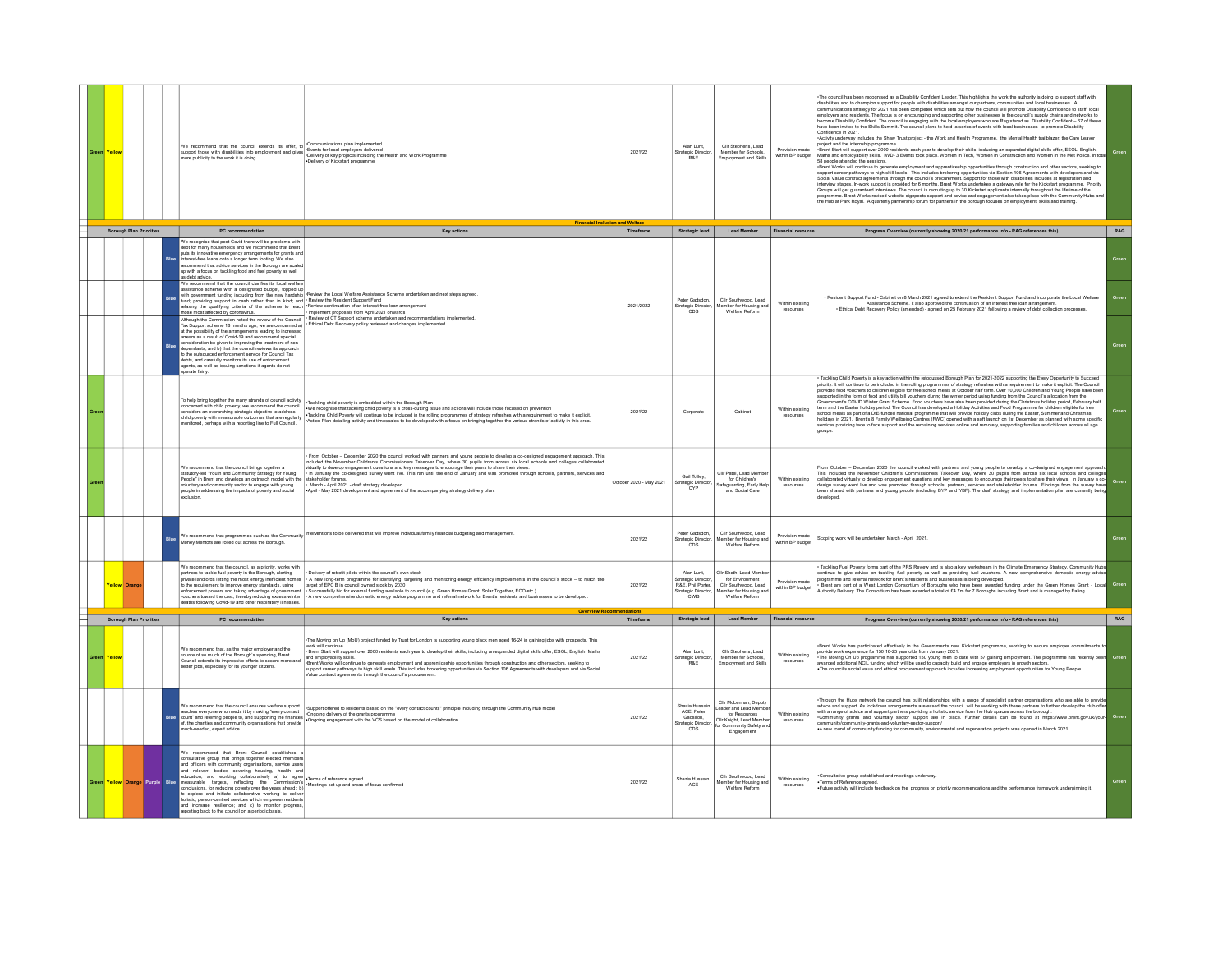| Yello                          |                                |            |                   |                                                                                                                                                                                                                                                                                                                                                                                                                                                                                                                                                                                                                                                                                                                                                                                                       | Communications plan implemented<br>We recommend that the council extends its offer, to Communications plan implemented<br>support those with disabilities into employment and gives $\frac{1}{2}$ Coents for local employers delivered<br>more publicity to the work it is<br>.Delivery of Kickstart programm                                                                                                                                                                                                                                                                                                                                                                                       | 2021/22                 | Alan Lunt,<br><b>Strategic Director</b><br><b>R&amp;F</b>                           | Clir Stephens, Lead<br>Member for Schools.<br>Employment and Skill                                                                 | Provision made<br>within BP budget                                                                                             | The council has been recognised as a Disability Confident Leader. This highlights the work the authority is doing to support staff with<br>disabilities and to champion support for people with disabilities amongst our partners, communities and local businesses. A<br>susures as the communications of the communications of the communications of the communications strategy for 2021 has been completed which sets out how the council will promote Disability Confidence to staff, local<br>Imploye<br>become Disability Confident. The council is engaging with the local employers who are Registered as Disability Confident - 67 of these<br>ave been invited to the Skills Summit. The council plans to hold a series of events with local businesses to promote Disability<br>Confidence in 2021.<br>Activity underway includes the Shaw Trust project - the Work and Health Programme, the Mental Health trailblazer, the Care Leaver<br>roject and the internship programme.<br>Brent Start will support over 2000 residents each year to develop their skills, including an expanded digital skills offer, ESOL, English<br>Maths and employability skills. IWD-3 Events took place. Women in Tech, Women in Construction and Women in the Met Police. In total<br>58 people attended the sessions.<br>Brent Works will continue to generate employment and apprenticeship opportunities through construction and other sectors, seeking to<br>support career pathways to high skill levels. This includes brokering opportunities via Section 106 Agreements with developers and via<br>Social Value contract agreements through the council's procurement. Support for those w<br>interview stages. In work support is provided for 6 months. Brent Works undertakes a gateway role for the Kickstart programme. Priority<br>Groups will get guaranteed interviews. The council is recruiting up to 30 Kickstart applicants internally throughout the lifetime of the<br>programme. Brent Works revised website signposts support and advice and engagement al<br>the Hub at Park Royal. A quarterly partnership forum for partners in the borough focuses on employment, skills and training | Green |
|--------------------------------|--------------------------------|------------|-------------------|-------------------------------------------------------------------------------------------------------------------------------------------------------------------------------------------------------------------------------------------------------------------------------------------------------------------------------------------------------------------------------------------------------------------------------------------------------------------------------------------------------------------------------------------------------------------------------------------------------------------------------------------------------------------------------------------------------------------------------------------------------------------------------------------------------|-----------------------------------------------------------------------------------------------------------------------------------------------------------------------------------------------------------------------------------------------------------------------------------------------------------------------------------------------------------------------------------------------------------------------------------------------------------------------------------------------------------------------------------------------------------------------------------------------------------------------------------------------------------------------------------------------------|-------------------------|-------------------------------------------------------------------------------------|------------------------------------------------------------------------------------------------------------------------------------|--------------------------------------------------------------------------------------------------------------------------------|------------------------------------------------------------------------------------------------------------------------------------------------------------------------------------------------------------------------------------------------------------------------------------------------------------------------------------------------------------------------------------------------------------------------------------------------------------------------------------------------------------------------------------------------------------------------------------------------------------------------------------------------------------------------------------------------------------------------------------------------------------------------------------------------------------------------------------------------------------------------------------------------------------------------------------------------------------------------------------------------------------------------------------------------------------------------------------------------------------------------------------------------------------------------------------------------------------------------------------------------------------------------------------------------------------------------------------------------------------------------------------------------------------------------------------------------------------------------------------------------------------------------------------------------------------------------------------------------------------------------------------------------------------------------------------------------------------------------------------------------------------------------------------------------------------------------------------------------------------------------------------------------------------------------------------------------------------------------------------------------------------------------------------------------------------------------------------------------------------------------------------------------------------------------------------------------------------------|-------|
| <b>Borough Plan Priorities</b> |                                |            | PC recommendation | <b>Key actions</b>                                                                                                                                                                                                                                                                                                                                                                                                                                                                                                                                                                                                                                                                                                                                                                                    | Timeframe                                                                                                                                                                                                                                                                                                                                                                                                                                                                                                                                                                                                                                                                                           | <b>Strategic lead</b>   | <b>Lead Member</b>                                                                  | Financial resource                                                                                                                 | Progress Overview (currently showing 2020/21 performance info - RAG references this)                                           | RAG                                                                                                                                                                                                                                                                                                                                                                                                                                                                                                                                                                                                                                                                                                                                                                                                                                                                                                                                                                                                                                                                                                                                                                                                                                                                                                                                                                                                                                                                                                                                                                                                                                                                                                                                                                                                                                                                                                                                                                                                                                                                                                                                                                                                              |       |
|                                |                                |            |                   | Ve recognise that post-Covid there will be problems with<br>ebt for many households and we recommend that Brent<br>uts its innovative emergency arrangements for grants and<br>erest-free loans onto a longer term footing. We also<br>commend that advice services in the Borough are scaled<br>o with a focus on tackling food and fuel poverty as well<br>Ve recommend that the council clarifies its local welfa<br>sistance scheme with a designated budget, topped up                                                                                                                                                                                                                                                                                                                           |                                                                                                                                                                                                                                                                                                                                                                                                                                                                                                                                                                                                                                                                                                     |                         |                                                                                     |                                                                                                                                    |                                                                                                                                |                                                                                                                                                                                                                                                                                                                                                                                                                                                                                                                                                                                                                                                                                                                                                                                                                                                                                                                                                                                                                                                                                                                                                                                                                                                                                                                                                                                                                                                                                                                                                                                                                                                                                                                                                                                                                                                                                                                                                                                                                                                                                                                                                                                                                  | Green |
|                                |                                |            |                   | nears as a result of contents and recommend speaking<br>pendants; and b) that the council reviews its approach<br>o the outsourced enforcement service for Council Tax<br>bts, and carefully monitors its use of enfo<br>gents, as well as issuing sanctions if agents do not<br>.<br>perate fairly.                                                                                                                                                                                                                                                                                                                                                                                                                                                                                                  | asseance screene wat a ceragnance ouages, ropper up<br>und: growdenig support in cash rather than in kind and Preview the Local Welfare Assistance Scheme undertaken and next steps agreed.<br>und: growdenig support in cash rather<br>Nihough the Commission noted the review of the Council<br>Tax Support scheme 18 months ago, we are concerned a) "Review of CT Support scheme undertaken and recommendations implemented.<br>It is Support scheme 18 months ago, we a                                                                                                                                                                                                                        | 2021/2022               | Peter Gadsdon.<br>Strategic Director<br>CDS                                         | Clir Southwood, Lead<br>Within existing<br>mber for Housing and<br>Welfare Reform                                                  | . Resident Support Fund - Cabinet on 8 March 2021 agreed to extend the Resident Support Fund and incorporate the Local Welfare | Green                                                                                                                                                                                                                                                                                                                                                                                                                                                                                                                                                                                                                                                                                                                                                                                                                                                                                                                                                                                                                                                                                                                                                                                                                                                                                                                                                                                                                                                                                                                                                                                                                                                                                                                                                                                                                                                                                                                                                                                                                                                                                                                                                                                                            |       |
|                                |                                |            |                   | To help bring together the many strands of council activity<br>oncerned with child poverty, we recommend the council<br>iders an overarching strategic objective to address<br>child poverty with measurable outcomes that are regularly<br>onitored, perhaps with a reporting line to Full Council.                                                                                                                                                                                                                                                                                                                                                                                                                                                                                                  | . Tackling child poverty is embedded within the Borough Plan<br>-We recognise that tackling child poverty is a cross-culting issue and actions will include those focused on prevention<br>-Tackling Child Poverty will continue to be included in the rolling programmes of strategy refreshes w<br>-Action Plan detailing activity and timescales to be developed with a focus on bringing together the various strands of activity in this area.                                                                                                                                                                                                                                                 | 2021/22                 | Corporate                                                                           | Cabinet                                                                                                                            | Within existing<br>resources                                                                                                   | Tackling Child Poverty is a key action within the refocussed Borough Plan for 2021-2022 supporting the Every Opportunity to Succeed<br>The matter of the intervention of the control of the control of the matter of the control of the control of the Council<br>- Similar provided from the control of the colling programmes of strategy refreshes with a requirement<br>supported in the form of food and utility bill youchers during the winter period using funding from the Council's allocation from the<br>ppower in the term of social and any surround and any site and personal any statements of the COVID Winter Grant Scheme. Food vouchers have also been provided during the Christmas holiday period, February t<br>Irm and the Eas<br>school meals as part of a DfE-funded national programme that will provide holiday clubs during the Easter. Summer and Christmas<br>biology in 2021. Brent's 8 Family Wellbeing Centres (FWC) opened with a soft launch on 1st December as planned with some specific<br>services providing face to face support and the remaining services online and remotely, supp<br>groups.                                                                                                                                                                                                                                                                                                                                                                                                                                                                                                                                                                                                                                                                                                                                                                                                                                                                                                                                                                                                                                                                        |       |
|                                |                                |            |                   | We recommend that the council brings together a<br>statutory-led "Youth and Community Strategy for Young<br>People' in Brent and develops an outreach model with the<br>oluntary and community sector to engage with young<br>people in addressing the impacts of poverty and social<br>mlusion                                                                                                                                                                                                                                                                                                                                                                                                                                                                                                       | From October - December 2020 the council worked with partners and young people to develop a co-designed engagement approach. Thi<br>included the November Children's Commissioners Takeover Day, where 30 pupils from across six local schools and colleges collaborate<br>virtually to develop engagement questions and key messages to encourage their peers to share their views.<br>In January the co-designed survey went live. This ran until the end of January and was promoted through schools, par<br>stakeholder forums.<br>- March - April 2021 - draft strategy developed.<br>April - May 2021 development and agreement of the accompanying strategy delivery plan.                   | October 2020 - May 2021 | Gail Tolley,<br><b>Strategic Director</b><br>CYF                                    | Clir Patel, Lead Membr<br>for Children's<br>Safeguarding, Early Hel<br>and Social Care                                             | Within existing                                                                                                                | From October - December 2020 the council worked with partners and young people to develop a co-designed engagement approach<br>This included the November Children's Commissioners Takeover Day, where 30 pupils from across six<br>collaborated virtually to develop engagement questions and key messages to encourage their peers to share their views. In January a co-<br>design survey went live and was promoted through schools, pathers, services and stakeh<br>developed.                                                                                                                                                                                                                                                                                                                                                                                                                                                                                                                                                                                                                                                                                                                                                                                                                                                                                                                                                                                                                                                                                                                                                                                                                                                                                                                                                                                                                                                                                                                                                                                                                                                                                                                              | Green |
|                                |                                |            | <b>Rlug</b>       | We recommend that programmes such as the Community<br>loney Mentors are rolled out across the Borough.                                                                                                                                                                                                                                                                                                                                                                                                                                                                                                                                                                                                                                                                                                | Interventions to be delivered that will improve individual/family financial budgeting and management.                                                                                                                                                                                                                                                                                                                                                                                                                                                                                                                                                                                               | 2021/22                 | Peter Gadsdon.<br>Strategic Director<br>cps                                         | Clir Southwood, Lead<br>Member for Housing and<br>Welfare Reform                                                                   | Provision made<br>within BP budge                                                                                              | Scoping work will be undertaken March - April 2021.                                                                                                                                                                                                                                                                                                                                                                                                                                                                                                                                                                                                                                                                                                                                                                                                                                                                                                                                                                                                                                                                                                                                                                                                                                                                                                                                                                                                                                                                                                                                                                                                                                                                                                                                                                                                                                                                                                                                                                                                                                                                                                                                                              | Green |
|                                | <b>Yellow Orano</b>            |            |                   | We recommend that the council, as a priority, works with<br>partners to tackle fuel poverty in the Borough, alerting<br>uchers toward the cost, thereby reducing excess winter<br>deaths following Covid-19 and other respiratory illnesses                                                                                                                                                                                                                                                                                                                                                                                                                                                                                                                                                           | . Delivery of retrofit pilots within the council's own stock<br>painable to the product of the control of the control of the control of the control of the control of the control of the control of the control of the control of the control of the control of the control of the control of<br>A new comprehensive domestic energy advice programme and referral network for Brent's residents and businesses to be developed.                                                                                                                                                                                                                                                                    | 2021/22                 | Alan Lunt<br>Strategic Director,<br>R&E, Phil Porter,<br>Strategic Director.<br>CWB | Clir Sheth Lead Memb<br>for Environment<br>Clir Southwood, Lead<br>Member for Housing an<br>Welfare Refor                          | Provision made<br>within BP budget                                                                                             | Tackling Fuel Poverty forms part of the PRS Review and is also a key workstream in the Climate Emergency Strategy. Community Hub<br>continue to give advice on lacking has powely as well as providing the vacues. A new comprehensive domestic energy advice<br>programme and referral network for Brenf's residents and businesses is being developed.<br>• Brent are                                                                                                                                                                                                                                                                                                                                                                                                                                                                                                                                                                                                                                                                                                                                                                                                                                                                                                                                                                                                                                                                                                                                                                                                                                                                                                                                                                                                                                                                                                                                                                                                                                                                                                                                                                                                                                          | Green |
|                                | <b>Borough Plan Priorities</b> |            |                   | PC recommendation                                                                                                                                                                                                                                                                                                                                                                                                                                                                                                                                                                                                                                                                                                                                                                                     | Overview R<br><b>Key actions</b>                                                                                                                                                                                                                                                                                                                                                                                                                                                                                                                                                                                                                                                                    | Timeframe               | <b>Strategic lead</b>                                                               | <b>Lead Member</b>                                                                                                                 | Financial resource                                                                                                             | Progress Overview (currently showing 2020/21 performance info - RAG references this)                                                                                                                                                                                                                                                                                                                                                                                                                                                                                                                                                                                                                                                                                                                                                                                                                                                                                                                                                                                                                                                                                                                                                                                                                                                                                                                                                                                                                                                                                                                                                                                                                                                                                                                                                                                                                                                                                                                                                                                                                                                                                                                             | RAG   |
|                                |                                |            |                   | We recommend that, as the major employer and the<br>source of so much of the Borough's spending. Brent<br>Council extends its impressive efforts to secure more and<br>better jobs, especially for its younger citizens.                                                                                                                                                                                                                                                                                                                                                                                                                                                                                                                                                                              | The Moving on Up (MoU) project funded by Trust for London is supporting young black men aged 16-24 in gaining jobs with prospects. This<br>work will continue<br>Brent Start will support over 2000 residents each vear to develop their skills, including an expanded digital skills offer, ESOL, English, Maths<br>and employability skills.<br>-Brent Works will continue to generate employment and apprenticeship opportunities through construction and other sectors, seeking to<br>support career pathways to high skill levels. This includes brokering opportunities wa Section 106 Agreements with developers and wa Social Value contract agreements through the council's procurement. | 2021/22                 | Alan Lunt.<br>tegic Direct<br>R&E                                                   | Clir Stephens, Lead<br>Member for Schools<br>Employment and Skill                                                                  | Within existing<br>resources                                                                                                   | Brent Works has participated effectively in the Governments new Kickstart programme, working to secure employer commitments to<br>provide work experience for 150 16-25 year olds from January 2021.<br>Fine Moving On Up programme has supported 150 young men to date with 57 gaining employment. The programme has recently been the state with the Moving On Up programme has recently been all the state of the state of the stat<br>The council's social value and ethical procurement approach includes increasing employment opportunities for Young People.                                                                                                                                                                                                                                                                                                                                                                                                                                                                                                                                                                                                                                                                                                                                                                                                                                                                                                                                                                                                                                                                                                                                                                                                                                                                                                                                                                                                                                                                                                                                                                                                                                             | Green |
|                                |                                |            |                   | We recommend that the council ensures welfare support<br>of, the charities and community organisations that provide<br>sch-needed, expert advice.                                                                                                                                                                                                                                                                                                                                                                                                                                                                                                                                                                                                                                                     | We recomment that the council ensures weltse support (every develop to the selection of the "every contact counts" principle including through the Community Hub model<br>counts and referring people to, and supporting the fina                                                                                                                                                                                                                                                                                                                                                                                                                                                                   | 2021/22                 | Shazia Hussain<br><b>ACE Peter</b><br>Gadsdon,<br>Strategic Director<br><b>CDS</b>  | Clir McLennan, Deputy<br>Leader and Lead Memb<br>for Resources<br>Cilr Knight, Lead Meml<br>for Community Safety and<br>Engagement | Within existing<br>resources                                                                                                   | -<br>Through the Hubs network the council has built relationships with a range of specialist partner organisations who are able to provide<br>advice and support. As lockdown arrangements are eased the council will be working wit<br>with a range of advice and support partners providing a holistic service from the Hub spaces across the borough.<br>•Community grants and voluntary sector support are in place. Further details can be found at https://www.bren<br>community/community-grants-and-voluntary-sector-support/<br>•A new round of community funding for community, environmental and regeneration projects was opened in March 2021                                                                                                                                                                                                                                                                                                                                                                                                                                                                                                                                                                                                                                                                                                                                                                                                                                                                                                                                                                                                                                                                                                                                                                                                                                                                                                                                                                                                                                                                                                                                                       |       |
|                                |                                | Purple Rlu |                   | We recommend that Brent Council establishes<br>onsultative group that brings together elected members<br>and officers with community organisations, service users<br>and officers win community usams windows and the mail of relevant bodies<br>and relevant bodies covering housing, health and<br>ducation, and working collaboratively a) to agree Terms of reference agreed<br>measurable targets, reflecting the Commission's terms of reference agreed<br>conclusions, for reducing poverty over the years ahead; b) Meetings set up and areas of focus confirmed<br>explore and initiate collaborative working to delive<br>olistic, person-centred services which empower resident<br>and increase resilience; and c) to monitor progress<br>porting back to the council on a periodic basis |                                                                                                                                                                                                                                                                                                                                                                                                                                                                                                                                                                                                                                                                                                     | 2021/22                 | Shazia Hussain.<br>ACE                                                              | Clir Southwood, Lead<br>Member for Housing and<br>Welfare Reform                                                                   | Within existing<br>resources                                                                                                   | tative group established and meetings underway.<br>Terms of Reference agreed.<br>Future activity will include feedback on the progress on priority recommendations and the performance framework underpinning it.                                                                                                                                                                                                                                                                                                                                                                                                                                                                                                                                                                                                                                                                                                                                                                                                                                                                                                                                                                                                                                                                                                                                                                                                                                                                                                                                                                                                                                                                                                                                                                                                                                                                                                                                                                                                                                                                                                                                                                                                |       |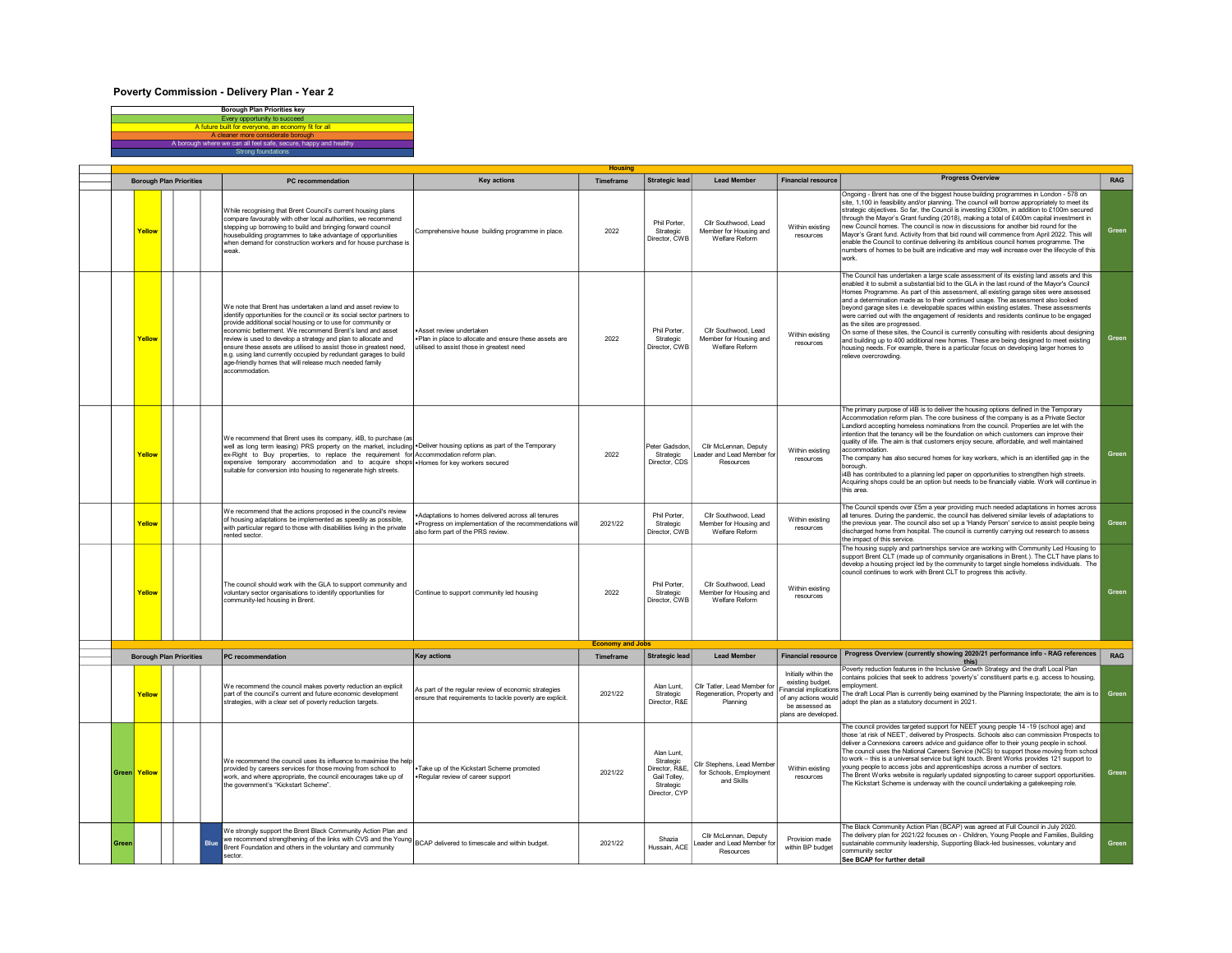## Poverty Commission - Delivery Plan - Year 2



| <b>Borough Plan Priorities</b> |                |                                                          | PC recommendation | <b>Key actions</b>                                                                                                                                                                                                                                                                                                                                                                                                                                                                                                                                         | Timeframe                                                                                                                     |                                                                                                                                                                                                                                                                                                                                                                                                                                                                                                                                                                                                                                           | <b>Lead Member</b>                                                                     | <b>Financial resource</b>                                        | <b>Progress Overview</b>                                                                                                                                      | RAG                                                                                                                                                                                                                                                                                                                                                                                                                                                                                                                                                                                                                                                                                                                                                                                                 |                                                                                                                  |
|--------------------------------|----------------|----------------------------------------------------------|-------------------|------------------------------------------------------------------------------------------------------------------------------------------------------------------------------------------------------------------------------------------------------------------------------------------------------------------------------------------------------------------------------------------------------------------------------------------------------------------------------------------------------------------------------------------------------------|-------------------------------------------------------------------------------------------------------------------------------|-------------------------------------------------------------------------------------------------------------------------------------------------------------------------------------------------------------------------------------------------------------------------------------------------------------------------------------------------------------------------------------------------------------------------------------------------------------------------------------------------------------------------------------------------------------------------------------------------------------------------------------------|----------------------------------------------------------------------------------------|------------------------------------------------------------------|---------------------------------------------------------------------------------------------------------------------------------------------------------------|-----------------------------------------------------------------------------------------------------------------------------------------------------------------------------------------------------------------------------------------------------------------------------------------------------------------------------------------------------------------------------------------------------------------------------------------------------------------------------------------------------------------------------------------------------------------------------------------------------------------------------------------------------------------------------------------------------------------------------------------------------------------------------------------------------|------------------------------------------------------------------------------------------------------------------|
| Yellow                         |                |                                                          |                   | While recognising that Brent Council's current housing plans<br>compare favourably with other local authorities, we recommend<br>stepping up borrowing to build and bringing forward council<br>housebuilding programmes to take advantage of opportunities<br>when demand for construction workers and for house purchase is<br>weak.                                                                                                                                                                                                                     | Comprehensive house building programme in place.                                                                              | 2022                                                                                                                                                                                                                                                                                                                                                                                                                                                                                                                                                                                                                                      | Phil Porter<br>Strategic<br>Director, CWE                                              | Cllr Southwood, Lead<br>Member for Housing and<br>Welfare Reform | Within existing<br>resources                                                                                                                                  | Ongoing - Brent has one of the biggest house building programmes in London - 578 on<br>site, 1,100 in feasibility and/or planning. The council will borrow appropriately to meet its<br>strategic objectives. So far, the Council is investing £300m, in addition to £100m secured<br>through the Mayor's Grant funding (2018), making a total of £400m capital investment in<br>new Council homes. The council is now in discussions for another bid round for the<br>Mayor's Grant fund. Activity from that bid round will commence from April 2022. This will<br>enable the Council to continue delivering its ambitious council homes programme. The<br>numbers of homes to be built are indicative and may well increase over the lifecycle of this<br>work.                                   | Green                                                                                                            |
|                                |                |                                                          |                   | We note that Brent has undertaken a land and asset review to<br>identify opportunities for the council or its social sector partners to<br>provide additional social housing or to use for community or<br>economic betterment. We recommend Brent's land and asset<br>review is used to develop a strategy and plan to allocate and<br>ensure these assets are utilised to assist those in greatest need,<br>e.g. using land currently occupied by redundant garages to build<br>age-friendly homes that will release much needed family<br>accommodation | Asset review undertaken<br>Plan in place to allocate and ensure these assets are<br>itilised to assist those in greatest need | 2022                                                                                                                                                                                                                                                                                                                                                                                                                                                                                                                                                                                                                                      | Phil Porter,<br>Strategic<br>Director, CWE                                             | Cllr Southwood, Lead<br>Member for Housing and<br>Welfare Reform | Within existing<br>resources                                                                                                                                  | enabled it to submit a substantial bid to the GLA in the last round of the Mayor's Council<br>Homes Programme. As part of this assessment, all existing garage sites were assessed<br>and a determination made as to their continued usage. The assessment also looked<br>beyond garage sites i.e. developable spaces within existing estates. These assessments<br>were carried out with the engagement of residents and residents continue to be engaged<br>as the sites are progressed.<br>On some of these sites, the Council is currently consulting with residents about designing<br>and building up to 400 additional new homes. These are being designed to meet existing<br>housing needs. For example, there is a particular focus on developing larger homes to<br>relieve overcrowding | Green                                                                                                            |
|                                |                |                                                          |                   | suitable for conversion into housing to regenerate high streets.                                                                                                                                                                                                                                                                                                                                                                                                                                                                                           |                                                                                                                               | 2022                                                                                                                                                                                                                                                                                                                                                                                                                                                                                                                                                                                                                                      | Peter Gadsdon<br>Strategic<br>Director, CDS                                            | Cllr McLennan, Deputy<br>Resources                               | Within existing<br>resources                                                                                                                                  | The primary purpose of i4B is to deliver the housing options defined in the Temporary<br>Accommodation reform plan. The core business of the company is as a Private Sector<br>Landlord accepting homeless nominations from the council. Properties are let with the<br>intention that the tenancy will be the foundation on which customers can improve their<br>quality of life. The aim is that customers enjoy secure, affordable, and well maintained<br>accommodation.<br>The company has also secured homes for key workers, which is an identified gap in the<br>borough<br>i4B has contributed to a planning led paper on opportunities to strengthen high streets.<br>Acquiring shops could be an option but needs to be financially viable. Work will continue in<br>this area.          | Green                                                                                                            |
|                                |                |                                                          |                   | We recommend that the actions proposed in the council's review<br>of housing adaptations be implemented as speedily as possible,<br>with particular regard to those with disabilities living in the private<br>rented sector.                                                                                                                                                                                                                                                                                                                              | Adaptations to homes delivered across all tenures<br>also form part of the PRS review.                                        | 2021/22                                                                                                                                                                                                                                                                                                                                                                                                                                                                                                                                                                                                                                   | Phil Porter.<br>Strategic<br>Director, CWB                                             | Cllr Southwood, Lead<br>Member for Housing and<br>Welfare Reform | Within existing<br>resources                                                                                                                                  | The Council spends over £5m a year providing much needed adaptations in homes across<br>all tenures. During the pandemic, the council has delivered similar levels of adaptations to<br>the previous year. The council also set up a 'Handy Person' service to assist people being<br>discharged home from hospital. The council is currently carrying out research to assess<br>the impact of this service.                                                                                                                                                                                                                                                                                                                                                                                        | Green                                                                                                            |
|                                |                |                                                          |                   | The council should work with the GLA to support community and<br>voluntary sector organisations to identify opportunities for<br>community-led housing in Brent.                                                                                                                                                                                                                                                                                                                                                                                           | Continue to support community led housing                                                                                     | 2022                                                                                                                                                                                                                                                                                                                                                                                                                                                                                                                                                                                                                                      | Phil Porter,<br>Strategic<br>Director, CWE                                             | Cllr Southwood, Lead<br>Member for Housing and<br>Welfare Reform | Within existing<br>resources                                                                                                                                  | The housing supply and partnerships service are working with Community Led Housing to<br>support Brent CLT (made up of community organisations in Brent.). The CLT have plans to<br>develop a housing project led by the community to target single homeless individuals. The<br>council continues to work with Brent CLT to progress this activity.                                                                                                                                                                                                                                                                                                                                                                                                                                                | Green                                                                                                            |
|                                |                |                                                          |                   |                                                                                                                                                                                                                                                                                                                                                                                                                                                                                                                                                            |                                                                                                                               |                                                                                                                                                                                                                                                                                                                                                                                                                                                                                                                                                                                                                                           |                                                                                        |                                                                  |                                                                                                                                                               | Progress Overview (currently showing 2020/21 performance info - RAG references                                                                                                                                                                                                                                                                                                                                                                                                                                                                                                                                                                                                                                                                                                                      | <b>RAG</b>                                                                                                       |
|                                |                |                                                          |                   | We recommend the council makes poverty reduction an explicit<br>part of the council's current and future economic development<br>strategies, with a clear set of poverty reduction targets.                                                                                                                                                                                                                                                                                                                                                                | As part of the regular review of economic strategies<br>ensure that requirements to tackle poverty are explicit.              | 2021/22                                                                                                                                                                                                                                                                                                                                                                                                                                                                                                                                                                                                                                   | Alan Lunt.<br>Strategic<br>Director, R&E                                               | Cllr Tatler, Lead Member for<br>Planning                         | Initially within the<br>existing budget.<br><b>Financial implications</b><br>be assessed as<br>plans are developed                                            | this)<br>Poverty reduction features in the Inclusive Growth Strategy and the draft Local Plan<br>contains policies that seek to address 'poverty's' constituent parts e.g. access to housing,<br>employment.<br>The draft Local Plan is currently being examined by the Planning Inspectorate; the aim is to<br>adopt the plan as a statutory document in 2021.                                                                                                                                                                                                                                                                                                                                                                                                                                     | Green                                                                                                            |
|                                |                |                                                          |                   | provided by careers services for those moving from school to<br>work, and where appropriate, the council encourages take up of<br>the government's "Kickstart Scheme".                                                                                                                                                                                                                                                                                                                                                                                     | Take up of the Kickstart Scheme promoted<br>.Regular review of career support                                                 | 2021/22                                                                                                                                                                                                                                                                                                                                                                                                                                                                                                                                                                                                                                   | Alan Lunt.<br>Strategic<br>Director, R&E<br>Gail Tolley,<br>Strategic<br>Director, CYP | for Schools, Employment<br>and Skills                            | Within existing<br>resources                                                                                                                                  | The council provides targeted support for NEET young people 14 -19 (school age) and<br>those 'at risk of NEET', delivered by Prospects. Schools also can commission Prospects to<br>deliver a Connexions careers advice and guidance offer to their young people in school.<br>The council uses the National Careers Service (NCS) to support those moving from school<br>to work - this is a universal service but light touch. Brent Works provides 121 support to<br>young people to access jobs and apprenticeships across a number of sectors.<br>The Brent Works website is regularly updated signposting to career support opportunities.<br>The Kickstart Scheme is underway with the council undertaking a gatekeeping role                                                                | Green                                                                                                            |
|                                |                |                                                          | Blue              | We strongly support the Brent Black Community Action Plan and<br>Brent Foundation and others in the voluntary and community<br>sector.                                                                                                                                                                                                                                                                                                                                                                                                                     |                                                                                                                               | 2021/22                                                                                                                                                                                                                                                                                                                                                                                                                                                                                                                                                                                                                                   | Shazia<br>Hussain, ACF                                                                 | Clir McLennan, Deputy<br>Resources                               | Provision made<br>within BP budget                                                                                                                            | The Black Community Action Plan (BCAP) was agreed at Full Council in July 2020.<br>The delivery plan for 2021/22 focuses on - Children, Young People and Families, Building<br>sustainable community leadership, Supporting Black-led businesses, voluntary and<br>community sector<br>See BCAP for further detail                                                                                                                                                                                                                                                                                                                                                                                                                                                                                  | Green                                                                                                            |
|                                | Green<br>Green | Yellow<br>Yellow<br>Yellow<br>Yellow<br>Yellov<br>Yellow |                   | <b>Borough Plan Priorities</b>                                                                                                                                                                                                                                                                                                                                                                                                                                                                                                                             | PC recommendation                                                                                                             | We recommend that Brent uses its company, i4B, to purchase (as<br>well as long term leasing) PRS property on the market, including .Deliver housing options as part of the Temporary<br>ex-Right to Buy properties, to replace the requirement for Accommodation reform plan.<br>expensive temporary accommodation and to acquire shops . Homes for key workers secured<br><b>Key actions</b><br>We recommend the council uses its influence to maximise the help<br>we submyly support the production where the million.<br>We recommend strengthening of the links with CVS and the Young BCAP delivered to timescale and within budget | Progress on implementation of the recommendations will<br>Timeframe                    | <b>Economy and Jobs</b>                                          | <b>Strategic lead</b><br><b>Strategic lead</b><br><b>Lead Member</b><br>Regeneration, Property and<br>Cllr Stephens, Lead Member<br>eader and Lead Member for | Leader and Lead Member for<br><b>Financial resource</b>                                                                                                                                                                                                                                                                                                                                                                                                                                                                                                                                                                                                                                                                                                                                             | The Council has undertaken a large scale assessment of its existing land assets and this<br>of any actions would |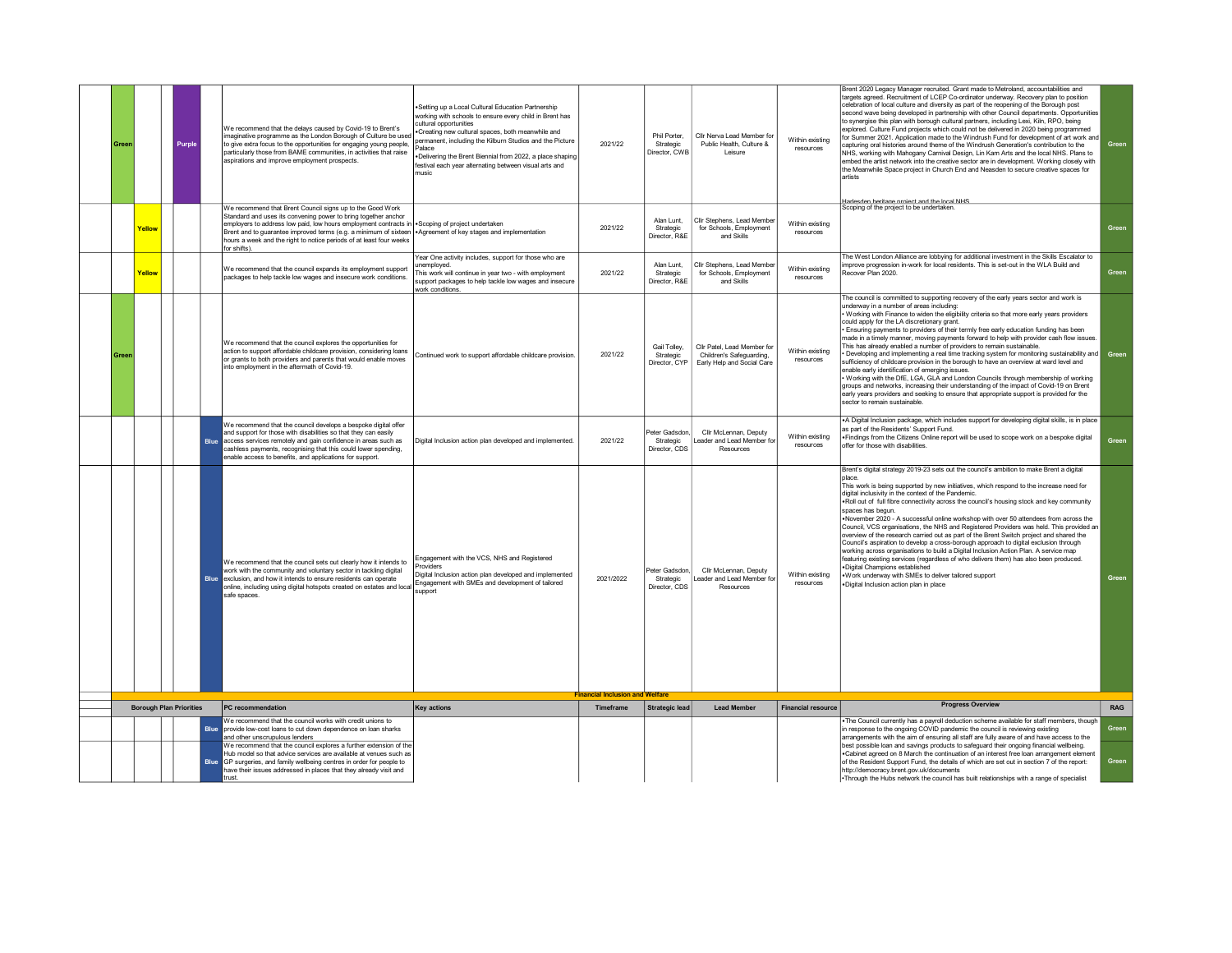| Green |                                | Purple |             | We recommend that the delays caused by Covid-19 to Brent's<br>imaginative programme as the London Borough of Culture be used<br>to give extra focus to the opportunities for engaging young people,<br>particularly those from BAME communities, in activities that raise<br>aspirations and improve employment prospects.                                                | Setting up a Local Cultural Education Partnership<br>working with schools to ensure every child in Brent has<br>cultural opportunities<br>Creating new cultural spaces, both meanwhile and<br>bermanent, including the Kilburn Studios and the Picture<br>Palace<br>.Delivering the Brent Biennial from 2022, a place shaping<br>festival each year alternating between visual arts and<br>nusic | 2021/22                                             | Phil Porter<br>Strategic<br>Director, CWB    | Cllr Nerva Lead Member for<br>Public Health, Culture &<br>Leisure                     | Within existing<br>resources | Brent 2020 Legacy Manager recruited. Grant made to Metroland, accountabilities and<br>targets agreed. Recruitment of LCEP Co-ordinator underway. Recovery plan to position<br>celebration of local culture and diversity as part of the reopening of the Borough post<br>second wave being developed in partnership with other Council departments. Opportunities<br>to synergise this plan with borough cultural partners, including Lexi, Kiln, RPO, being<br>explored. Culture Fund projects which could not be delivered in 2020 being programmed<br>for Summer 2021. Application made to the Windrush Fund for development of art work and<br>capturing oral histories around theme of the Windrush Generation's contribution to the<br>NHS, working with Mahogany Carnival Design, Lin Kam Arts and the local NHS. Plans to<br>embed the artist network into the creative sector are in development. Working closely with<br>the Meanwhile Space project in Church End and Neasden to secure creative spaces for<br>artists                                                                     | Green      |
|-------|--------------------------------|--------|-------------|---------------------------------------------------------------------------------------------------------------------------------------------------------------------------------------------------------------------------------------------------------------------------------------------------------------------------------------------------------------------------|--------------------------------------------------------------------------------------------------------------------------------------------------------------------------------------------------------------------------------------------------------------------------------------------------------------------------------------------------------------------------------------------------|-----------------------------------------------------|----------------------------------------------|---------------------------------------------------------------------------------------|------------------------------|-------------------------------------------------------------------------------------------------------------------------------------------------------------------------------------------------------------------------------------------------------------------------------------------------------------------------------------------------------------------------------------------------------------------------------------------------------------------------------------------------------------------------------------------------------------------------------------------------------------------------------------------------------------------------------------------------------------------------------------------------------------------------------------------------------------------------------------------------------------------------------------------------------------------------------------------------------------------------------------------------------------------------------------------------------------------------------------------------------|------------|
|       |                                |        |             | We recommend that Brent Council signs up to the Good Work                                                                                                                                                                                                                                                                                                                 |                                                                                                                                                                                                                                                                                                                                                                                                  |                                                     |                                              |                                                                                       |                              | Harlesden heritage project and the local NHS<br>Scoping of the project to be undertaken                                                                                                                                                                                                                                                                                                                                                                                                                                                                                                                                                                                                                                                                                                                                                                                                                                                                                                                                                                                                               |            |
|       | Yellow                         |        |             | Standard and uses its convening power to bring together anchor<br>employers to address low paid, low hours employment contracts in sScoping of project undertaken<br>Brent and to guarantee improved terms (e.g. a minimum of sixteen   Agreement of key stages and implementation<br>hours a week and the right to notice periods of at least four weeks<br>for shifts). |                                                                                                                                                                                                                                                                                                                                                                                                  | 2021/22                                             | Alan Lunt<br>Strategic<br>Director, R&E      | Clir Stephens, Lead Member<br>for Schools, Employment<br>and Skills                   | Within existing<br>resources |                                                                                                                                                                                                                                                                                                                                                                                                                                                                                                                                                                                                                                                                                                                                                                                                                                                                                                                                                                                                                                                                                                       | Green      |
|       | Yellow                         |        |             | We recommend that the council expands its employment support<br>packages to help tackle low wages and insecure work conditions.                                                                                                                                                                                                                                           | Year One activity includes, support for those who are<br><i>unemploved</i><br>This work will continue in year two - with employment<br>support packages to help tackle low wages and insecure<br>work conditions.                                                                                                                                                                                | 2021/22                                             | Alan Lunt.<br>Strategic<br>Director, R&E     | Cllr Stephens, Lead Membe<br>for Schools, Employment<br>and Skills                    | Within existing<br>resources | The West London Alliance are lobbying for additional investment in the Skills Escalator to<br>mprove progression in-work for local residents. This is set-out in the WLA Build and<br>Recover Plan 2020.                                                                                                                                                                                                                                                                                                                                                                                                                                                                                                                                                                                                                                                                                                                                                                                                                                                                                              | Green      |
| Gree  |                                |        |             | We recommend that the council explores the opportunities for<br>action to support affordable childcare provision, considering loans<br>or grants to both providers and parents that would enable moves<br>into employment in the aftermath of Covid-19.                                                                                                                   | Continued work to support affordable childcare provision.                                                                                                                                                                                                                                                                                                                                        | 2021/22                                             | Gail Tolley,<br>Strategic<br>Director, CYP   | Clir Patel, Lead Member for<br>Children's Safeguarding,<br>Early Help and Social Care | Within existing<br>resources | The council is committed to supporting recovery of the early years sector and work is<br>underway in a number of areas including:<br>Working with Finance to widen the eligibility criteria so that more early years providers<br>could apply for the LA discretionary grant.<br>Ensuring payments to providers of their termly free early education funding has been<br>made in a timely manner, moving payments forward to help with provider cash flow issues.<br>This has already enabled a number of providers to remain sustainable<br>Developing and implementing a real time tracking system for monitoring sustainability and Green<br>sufficiency of childcare provision in the borough to have an overview at ward level and<br>enable early identification of emerging issues.<br>Working with the DfE, LGA, GLA and London Councils through membership of working<br>groups and networks, increasing their understanding of the impact of Covid-19 on Brent<br>early years providers and seeking to ensure that appropriate support is provided for the<br>sector to remain sustainable. |            |
|       |                                |        | <b>Blue</b> | We recommend that the council develops a bespoke digital offer<br>and support for those with disabilities so that they can easily<br>access services remotely and gain confidence in areas such as<br>cashless payments, recognising that this could lower spending,<br>enable access to benefits, and applications for support.                                          | Digital Inclusion action plan developed and implemented.                                                                                                                                                                                                                                                                                                                                         | 2021/22                                             | Peter Gadsdon,<br>Strategic<br>Director, CDS | Cllr McLennan, Deputy<br>Leader and Lead Member for<br>Resources                      | Within existing<br>resources | .A Digital Inclusion package, which includes support for developing digital skills, is in place<br>as part of the Residents' Support Fund.<br>. Findings from the Citizens Online report will be used to scope work on a bespoke digital<br>offer for those with disabilities.                                                                                                                                                                                                                                                                                                                                                                                                                                                                                                                                                                                                                                                                                                                                                                                                                        | Green      |
|       |                                |        |             | We recommend that the council sets out clearly how it intends to<br>work with the community and voluntary sector in tackling digital<br>Blue exclusion, and how it intends to ensure residents can operate<br>online, including using digital hotspots created on estates and local<br>safe spaces.                                                                       | Engagement with the VCS, NHS and Registered<br><b>Providers</b><br>Digital Inclusion action plan developed and implemented<br>Engagement with SMEs and development of tailored<br>support                                                                                                                                                                                                        | 2021/2022<br><b>Financial Inclusion and Welfare</b> | Peter Gadsdon<br>Strategic<br>Director, CDS  | Clir McLennan, Deputy<br>Leader and Lead Member for<br>Resources                      | Within existing<br>resources | Brent's digital strategy 2019-23 sets out the council's ambition to make Brent a digital<br><b>D</b> ace<br>This work is being supported by new initiatives, which respond to the increase need for<br>digital inclusivity in the context of the Pandemic.<br>. Roll out of full fibre connectivity across the council's housing stock and key community<br>spaces has begun.<br>.November 2020 - A successful online workshop with over 50 attendees from across the<br>Council, VCS organisations, the NHS and Registered Providers was held. This provided an<br>overview of the research carried out as part of the Brent Switch project and shared the<br>Council's aspiration to develop a cross-borough approach to digital exclusion through<br>working across organisations to build a Digital Inclusion Action Plan. A service map<br>featuring existing services (regardless of who delivers them) has also been produced.<br>·Digital Champions established<br>.Work underway with SMEs to deliver tailored support<br>.Digital Inclusion action plan in place                            | Green      |
|       | <b>Borough Plan Priorities</b> |        |             | PC recommendation                                                                                                                                                                                                                                                                                                                                                         | <b>Key actions</b>                                                                                                                                                                                                                                                                                                                                                                               | Timeframe                                           | <b>Strategic lead</b>                        | <b>Lead Member</b>                                                                    | <b>Financial resource</b>    | <b>Progress Overview</b>                                                                                                                                                                                                                                                                                                                                                                                                                                                                                                                                                                                                                                                                                                                                                                                                                                                                                                                                                                                                                                                                              | <b>RAG</b> |
|       |                                |        |             | Ve recommend that the council works with credit unions to                                                                                                                                                                                                                                                                                                                 |                                                                                                                                                                                                                                                                                                                                                                                                  |                                                     |                                              |                                                                                       |                              | The Council currently has a payroll deduction scheme available for staff members, though                                                                                                                                                                                                                                                                                                                                                                                                                                                                                                                                                                                                                                                                                                                                                                                                                                                                                                                                                                                                              |            |
|       |                                |        | Blue        | provide low-cost loans to cut down dependence on loan sharks<br>and other unscrupulous lenders<br>We recommend that the council explores a further extension of the                                                                                                                                                                                                       |                                                                                                                                                                                                                                                                                                                                                                                                  |                                                     |                                              |                                                                                       |                              | in response to the ongoing COVID pandemic the council is reviewing existing<br>arrangements with the aim of ensuring all staff are fully aware of and have access to the<br>best possible loan and savings products to safeguard their ongoing financial wellbeing.                                                                                                                                                                                                                                                                                                                                                                                                                                                                                                                                                                                                                                                                                                                                                                                                                                   | Green      |
|       |                                |        | <b>Rlue</b> | lub model so that advice services are available at venues such as<br>GP surgeries, and family wellbeing centres in order for people to<br>have their issues addressed in places that they already visit and<br>trust                                                                                                                                                      |                                                                                                                                                                                                                                                                                                                                                                                                  |                                                     |                                              |                                                                                       |                              | . Cabinet agreed on 8 March the continuation of an interest free loan arrangement element<br>of the Resident Support Fund, the details of which are set out in section 7 of the report:<br>http://democracy.brent.gov.uk/documents<br>• Through the Hubs network the council has built relationships with a range of specialist                                                                                                                                                                                                                                                                                                                                                                                                                                                                                                                                                                                                                                                                                                                                                                       | Green      |